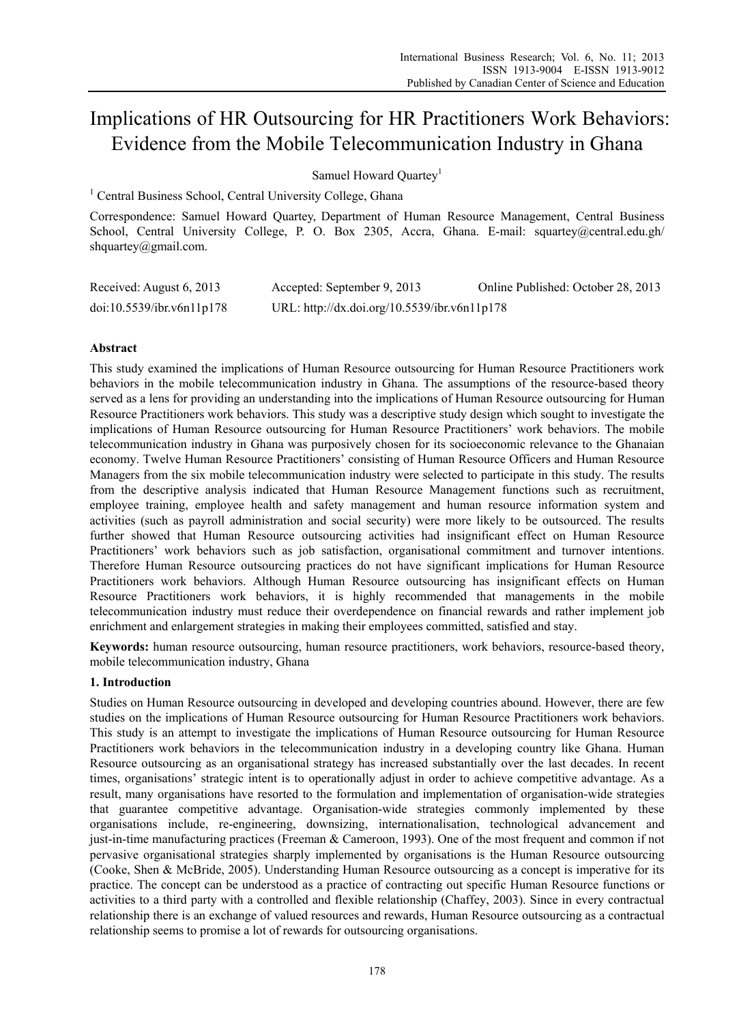# Implications of HR Outsourcing for HR Practitioners Work Behaviors: Evidence from the Mobile Telecommunication Industry in Ghana

Samuel Howard Quartey<sup>1</sup>

<sup>1</sup> Central Business School, Central University College, Ghana

Correspondence: Samuel Howard Quartey, Department of Human Resource Management, Central Business School, Central University College, P. O. Box 2305, Accra, Ghana. E-mail: squartey@central.edu.gh/ shquartey@gmail.com.

| Received: August 6, 2013  | Accepted: September 9, 2013                  | Online Published: October 28, 2013 |
|---------------------------|----------------------------------------------|------------------------------------|
| doi:10.5539/ibr.v6n11p178 | URL: http://dx.doi.org/10.5539/ibr.v6n11p178 |                                    |

# **Abstract**

This study examined the implications of Human Resource outsourcing for Human Resource Practitioners work behaviors in the mobile telecommunication industry in Ghana. The assumptions of the resource-based theory served as a lens for providing an understanding into the implications of Human Resource outsourcing for Human Resource Practitioners work behaviors. This study was a descriptive study design which sought to investigate the implications of Human Resource outsourcing for Human Resource Practitioners' work behaviors. The mobile telecommunication industry in Ghana was purposively chosen for its socioeconomic relevance to the Ghanaian economy. Twelve Human Resource Practitioners' consisting of Human Resource Officers and Human Resource Managers from the six mobile telecommunication industry were selected to participate in this study. The results from the descriptive analysis indicated that Human Resource Management functions such as recruitment, employee training, employee health and safety management and human resource information system and activities (such as payroll administration and social security) were more likely to be outsourced. The results further showed that Human Resource outsourcing activities had insignificant effect on Human Resource Practitioners' work behaviors such as job satisfaction, organisational commitment and turnover intentions. Therefore Human Resource outsourcing practices do not have significant implications for Human Resource Practitioners work behaviors. Although Human Resource outsourcing has insignificant effects on Human Resource Practitioners work behaviors, it is highly recommended that managements in the mobile telecommunication industry must reduce their overdependence on financial rewards and rather implement job enrichment and enlargement strategies in making their employees committed, satisfied and stay.

**Keywords:** human resource outsourcing, human resource practitioners, work behaviors, resource-based theory, mobile telecommunication industry, Ghana

# **1. Introduction**

Studies on Human Resource outsourcing in developed and developing countries abound. However, there are few studies on the implications of Human Resource outsourcing for Human Resource Practitioners work behaviors. This study is an attempt to investigate the implications of Human Resource outsourcing for Human Resource Practitioners work behaviors in the telecommunication industry in a developing country like Ghana. Human Resource outsourcing as an organisational strategy has increased substantially over the last decades. In recent times, organisations' strategic intent is to operationally adjust in order to achieve competitive advantage. As a result, many organisations have resorted to the formulation and implementation of organisation-wide strategies that guarantee competitive advantage. Organisation-wide strategies commonly implemented by these organisations include, re-engineering, downsizing, internationalisation, technological advancement and just-in-time manufacturing practices (Freeman & Cameroon, 1993). One of the most frequent and common if not pervasive organisational strategies sharply implemented by organisations is the Human Resource outsourcing (Cooke, Shen & McBride, 2005). Understanding Human Resource outsourcing as a concept is imperative for its practice. The concept can be understood as a practice of contracting out specific Human Resource functions or activities to a third party with a controlled and flexible relationship (Chaffey, 2003). Since in every contractual relationship there is an exchange of valued resources and rewards, Human Resource outsourcing as a contractual relationship seems to promise a lot of rewards for outsourcing organisations.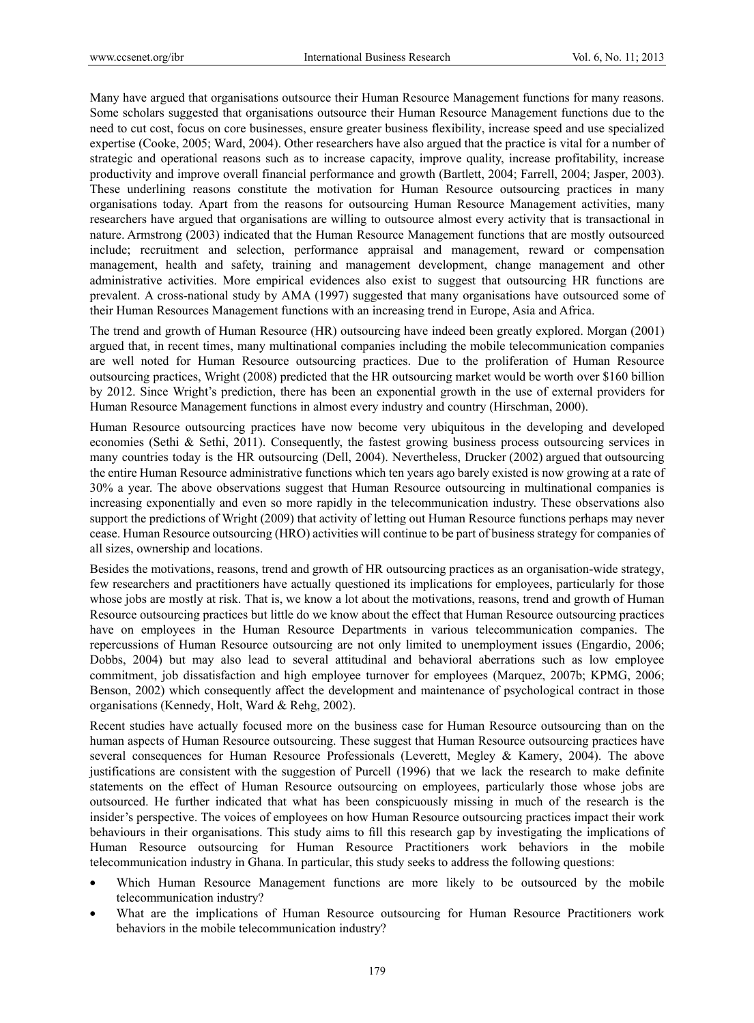Many have argued that organisations outsource their Human Resource Management functions for many reasons. Some scholars suggested that organisations outsource their Human Resource Management functions due to the need to cut cost, focus on core businesses, ensure greater business flexibility, increase speed and use specialized expertise (Cooke, 2005; Ward, 2004). Other researchers have also argued that the practice is vital for a number of strategic and operational reasons such as to increase capacity, improve quality, increase profitability, increase productivity and improve overall financial performance and growth (Bartlett, 2004; Farrell, 2004; Jasper, 2003). These underlining reasons constitute the motivation for Human Resource outsourcing practices in many organisations today. Apart from the reasons for outsourcing Human Resource Management activities, many researchers have argued that organisations are willing to outsource almost every activity that is transactional in nature. Armstrong (2003) indicated that the Human Resource Management functions that are mostly outsourced include; recruitment and selection, performance appraisal and management, reward or compensation management, health and safety, training and management development, change management and other administrative activities. More empirical evidences also exist to suggest that outsourcing HR functions are prevalent. A cross-national study by AMA (1997) suggested that many organisations have outsourced some of their Human Resources Management functions with an increasing trend in Europe, Asia and Africa.

The trend and growth of Human Resource (HR) outsourcing have indeed been greatly explored. Morgan (2001) argued that, in recent times, many multinational companies including the mobile telecommunication companies are well noted for Human Resource outsourcing practices. Due to the proliferation of Human Resource outsourcing practices, Wright (2008) predicted that the HR outsourcing market would be worth over \$160 billion by 2012. Since Wright's prediction, there has been an exponential growth in the use of external providers for Human Resource Management functions in almost every industry and country (Hirschman, 2000).

Human Resource outsourcing practices have now become very ubiquitous in the developing and developed economies (Sethi & Sethi, 2011). Consequently, the fastest growing business process outsourcing services in many countries today is the HR outsourcing (Dell, 2004). Nevertheless, Drucker (2002) argued that outsourcing the entire Human Resource administrative functions which ten years ago barely existed is now growing at a rate of 30% a year. The above observations suggest that Human Resource outsourcing in multinational companies is increasing exponentially and even so more rapidly in the telecommunication industry. These observations also support the predictions of Wright (2009) that activity of letting out Human Resource functions perhaps may never cease. Human Resource outsourcing (HRO) activities will continue to be part of business strategy for companies of all sizes, ownership and locations.

Besides the motivations, reasons, trend and growth of HR outsourcing practices as an organisation-wide strategy, few researchers and practitioners have actually questioned its implications for employees, particularly for those whose jobs are mostly at risk. That is, we know a lot about the motivations, reasons, trend and growth of Human Resource outsourcing practices but little do we know about the effect that Human Resource outsourcing practices have on employees in the Human Resource Departments in various telecommunication companies. The repercussions of Human Resource outsourcing are not only limited to unemployment issues (Engardio, 2006; Dobbs, 2004) but may also lead to several attitudinal and behavioral aberrations such as low employee commitment, job dissatisfaction and high employee turnover for employees (Marquez, 2007b; KPMG, 2006; Benson, 2002) which consequently affect the development and maintenance of psychological contract in those organisations (Kennedy, Holt, Ward & Rehg, 2002).

Recent studies have actually focused more on the business case for Human Resource outsourcing than on the human aspects of Human Resource outsourcing. These suggest that Human Resource outsourcing practices have several consequences for Human Resource Professionals (Leverett, Megley & Kamery, 2004). The above justifications are consistent with the suggestion of Purcell (1996) that we lack the research to make definite statements on the effect of Human Resource outsourcing on employees, particularly those whose jobs are outsourced. He further indicated that what has been conspicuously missing in much of the research is the insider's perspective. The voices of employees on how Human Resource outsourcing practices impact their work behaviours in their organisations. This study aims to fill this research gap by investigating the implications of Human Resource outsourcing for Human Resource Practitioners work behaviors in the mobile telecommunication industry in Ghana. In particular, this study seeks to address the following questions:

- Which Human Resource Management functions are more likely to be outsourced by the mobile telecommunication industry?
- What are the implications of Human Resource outsourcing for Human Resource Practitioners work behaviors in the mobile telecommunication industry?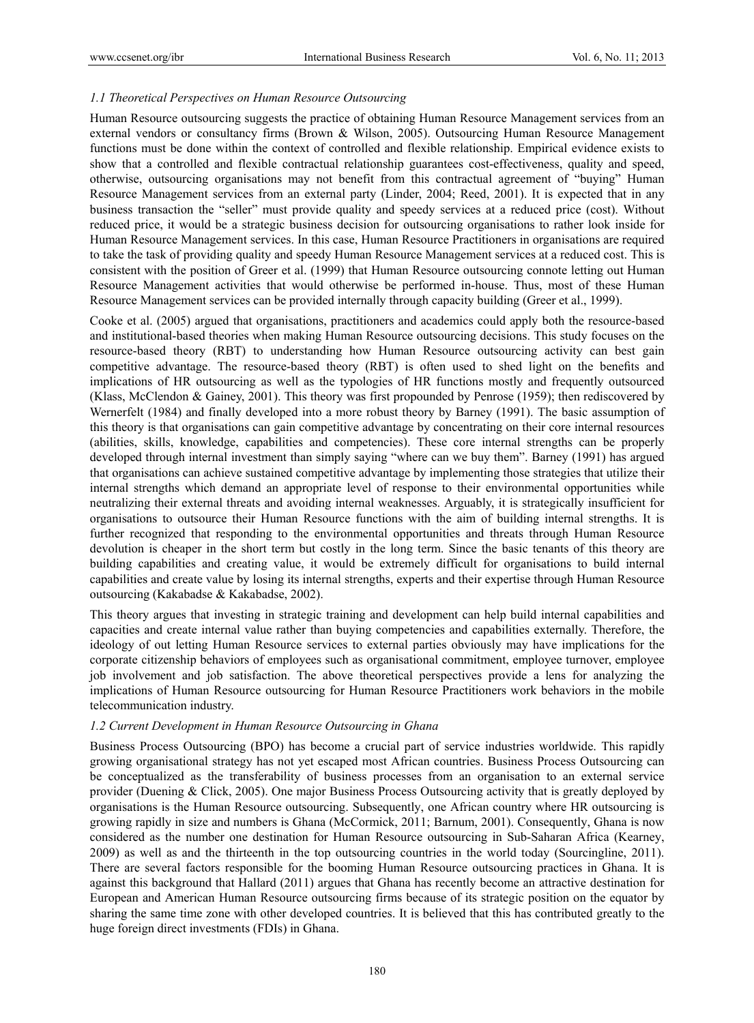# *1.1 Theoretical Perspectives on Human Resource Outsourcing*

Human Resource outsourcing suggests the practice of obtaining Human Resource Management services from an external vendors or consultancy firms (Brown & Wilson, 2005). Outsourcing Human Resource Management functions must be done within the context of controlled and flexible relationship. Empirical evidence exists to show that a controlled and flexible contractual relationship guarantees cost-effectiveness, quality and speed, otherwise, outsourcing organisations may not benefit from this contractual agreement of "buying" Human Resource Management services from an external party (Linder, 2004; Reed, 2001). It is expected that in any business transaction the "seller" must provide quality and speedy services at a reduced price (cost). Without reduced price, it would be a strategic business decision for outsourcing organisations to rather look inside for Human Resource Management services. In this case, Human Resource Practitioners in organisations are required to take the task of providing quality and speedy Human Resource Management services at a reduced cost. This is consistent with the position of Greer et al. (1999) that Human Resource outsourcing connote letting out Human Resource Management activities that would otherwise be performed in-house. Thus, most of these Human Resource Management services can be provided internally through capacity building (Greer et al., 1999).

Cooke et al. (2005) argued that organisations, practitioners and academics could apply both the resource-based and institutional-based theories when making Human Resource outsourcing decisions. This study focuses on the resource-based theory (RBT) to understanding how Human Resource outsourcing activity can best gain competitive advantage. The resource-based theory (RBT) is often used to shed light on the benefits and implications of HR outsourcing as well as the typologies of HR functions mostly and frequently outsourced (Klass, McClendon & Gainey, 2001). This theory was first propounded by Penrose (1959); then rediscovered by Wernerfelt (1984) and finally developed into a more robust theory by Barney (1991). The basic assumption of this theory is that organisations can gain competitive advantage by concentrating on their core internal resources (abilities, skills, knowledge, capabilities and competencies). These core internal strengths can be properly developed through internal investment than simply saying "where can we buy them". Barney (1991) has argued that organisations can achieve sustained competitive advantage by implementing those strategies that utilize their internal strengths which demand an appropriate level of response to their environmental opportunities while neutralizing their external threats and avoiding internal weaknesses. Arguably, it is strategically insufficient for organisations to outsource their Human Resource functions with the aim of building internal strengths. It is further recognized that responding to the environmental opportunities and threats through Human Resource devolution is cheaper in the short term but costly in the long term. Since the basic tenants of this theory are building capabilities and creating value, it would be extremely difficult for organisations to build internal capabilities and create value by losing its internal strengths, experts and their expertise through Human Resource outsourcing (Kakabadse & Kakabadse, 2002).

This theory argues that investing in strategic training and development can help build internal capabilities and capacities and create internal value rather than buying competencies and capabilities externally. Therefore, the ideology of out letting Human Resource services to external parties obviously may have implications for the corporate citizenship behaviors of employees such as organisational commitment, employee turnover, employee job involvement and job satisfaction. The above theoretical perspectives provide a lens for analyzing the implications of Human Resource outsourcing for Human Resource Practitioners work behaviors in the mobile telecommunication industry.

#### *1.2 Current Development in Human Resource Outsourcing in Ghana*

Business Process Outsourcing (BPO) has become a crucial part of service industries worldwide. This rapidly growing organisational strategy has not yet escaped most African countries. Business Process Outsourcing can be conceptualized as the transferability of business processes from an organisation to an external service provider (Duening & Click, 2005). One major Business Process Outsourcing activity that is greatly deployed by organisations is the Human Resource outsourcing. Subsequently, one African country where HR outsourcing is growing rapidly in size and numbers is Ghana (McCormick, 2011; Barnum, 2001). Consequently, Ghana is now considered as the number one destination for Human Resource outsourcing in Sub-Saharan Africa (Kearney, 2009) as well as and the thirteenth in the top outsourcing countries in the world today (Sourcingline, 2011). There are several factors responsible for the booming Human Resource outsourcing practices in Ghana. It is against this background that Hallard (2011) argues that Ghana has recently become an attractive destination for European and American Human Resource outsourcing firms because of its strategic position on the equator by sharing the same time zone with other developed countries. It is believed that this has contributed greatly to the huge foreign direct investments (FDIs) in Ghana.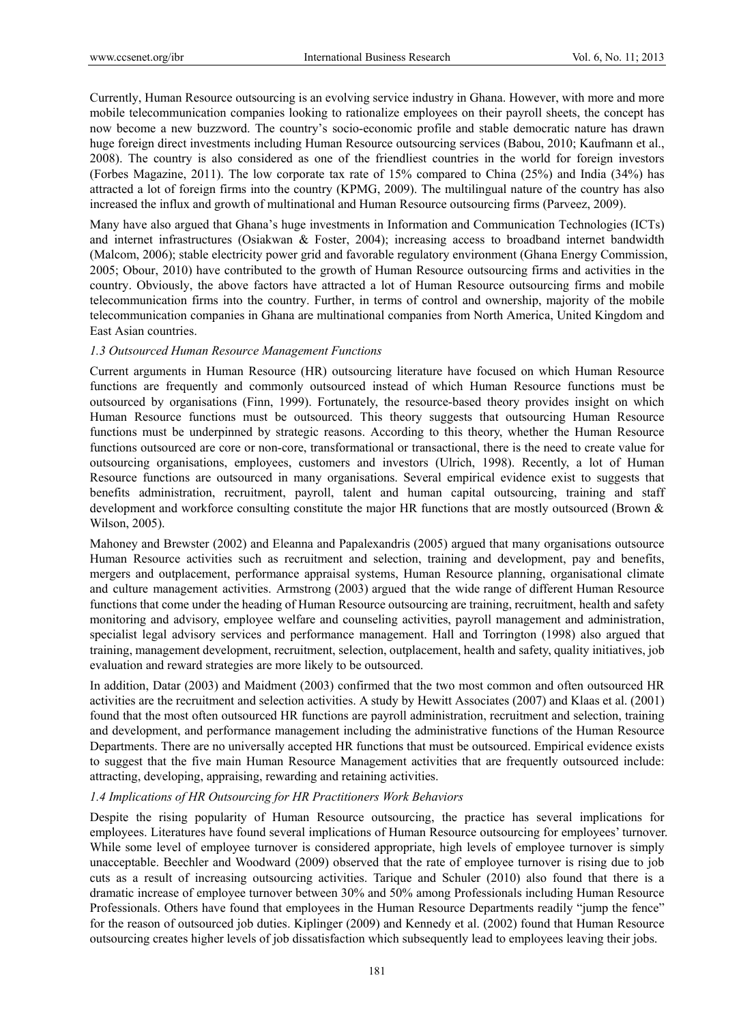Currently, Human Resource outsourcing is an evolving service industry in Ghana. However, with more and more mobile telecommunication companies looking to rationalize employees on their payroll sheets, the concept has now become a new buzzword. The country's socio-economic profile and stable democratic nature has drawn huge foreign direct investments including Human Resource outsourcing services (Babou, 2010; Kaufmann et al., 2008). The country is also considered as one of the friendliest countries in the world for foreign investors (Forbes Magazine, 2011). The low corporate tax rate of 15% compared to China (25%) and India (34%) has attracted a lot of foreign firms into the country (KPMG, 2009). The multilingual nature of the country has also increased the influx and growth of multinational and Human Resource outsourcing firms (Parveez, 2009).

Many have also argued that Ghana's huge investments in Information and Communication Technologies (ICTs) and internet infrastructures (Osiakwan & Foster, 2004); increasing access to broadband internet bandwidth (Malcom, 2006); stable electricity power grid and favorable regulatory environment (Ghana Energy Commission, 2005; Obour, 2010) have contributed to the growth of Human Resource outsourcing firms and activities in the country. Obviously, the above factors have attracted a lot of Human Resource outsourcing firms and mobile telecommunication firms into the country. Further, in terms of control and ownership, majority of the mobile telecommunication companies in Ghana are multinational companies from North America, United Kingdom and East Asian countries.

## *1.3 Outsourced Human Resource Management Functions*

Current arguments in Human Resource (HR) outsourcing literature have focused on which Human Resource functions are frequently and commonly outsourced instead of which Human Resource functions must be outsourced by organisations (Finn, 1999). Fortunately, the resource-based theory provides insight on which Human Resource functions must be outsourced. This theory suggests that outsourcing Human Resource functions must be underpinned by strategic reasons. According to this theory, whether the Human Resource functions outsourced are core or non-core, transformational or transactional, there is the need to create value for outsourcing organisations, employees, customers and investors (Ulrich, 1998). Recently, a lot of Human Resource functions are outsourced in many organisations. Several empirical evidence exist to suggests that benefits administration, recruitment, payroll, talent and human capital outsourcing, training and staff development and workforce consulting constitute the major HR functions that are mostly outsourced (Brown & Wilson, 2005).

Mahoney and Brewster (2002) and Eleanna and Papalexandris (2005) argued that many organisations outsource Human Resource activities such as recruitment and selection, training and development, pay and benefits, mergers and outplacement, performance appraisal systems, Human Resource planning, organisational climate and culture management activities. Armstrong (2003) argued that the wide range of different Human Resource functions that come under the heading of Human Resource outsourcing are training, recruitment, health and safety monitoring and advisory, employee welfare and counseling activities, payroll management and administration, specialist legal advisory services and performance management. Hall and Torrington (1998) also argued that training, management development, recruitment, selection, outplacement, health and safety, quality initiatives, job evaluation and reward strategies are more likely to be outsourced.

In addition, Datar (2003) and Maidment (2003) confirmed that the two most common and often outsourced HR activities are the recruitment and selection activities. A study by Hewitt Associates (2007) and Klaas et al. (2001) found that the most often outsourced HR functions are payroll administration, recruitment and selection, training and development, and performance management including the administrative functions of the Human Resource Departments. There are no universally accepted HR functions that must be outsourced. Empirical evidence exists to suggest that the five main Human Resource Management activities that are frequently outsourced include: attracting, developing, appraising, rewarding and retaining activities.

#### *1.4 Implications of HR Outsourcing for HR Practitioners Work Behaviors*

Despite the rising popularity of Human Resource outsourcing, the practice has several implications for employees. Literatures have found several implications of Human Resource outsourcing for employees' turnover. While some level of employee turnover is considered appropriate, high levels of employee turnover is simply unacceptable. Beechler and Woodward (2009) observed that the rate of employee turnover is rising due to job cuts as a result of increasing outsourcing activities. Tarique and Schuler (2010) also found that there is a dramatic increase of employee turnover between 30% and 50% among Professionals including Human Resource Professionals. Others have found that employees in the Human Resource Departments readily "jump the fence" for the reason of outsourced job duties. Kiplinger (2009) and Kennedy et al. (2002) found that Human Resource outsourcing creates higher levels of job dissatisfaction which subsequently lead to employees leaving their jobs.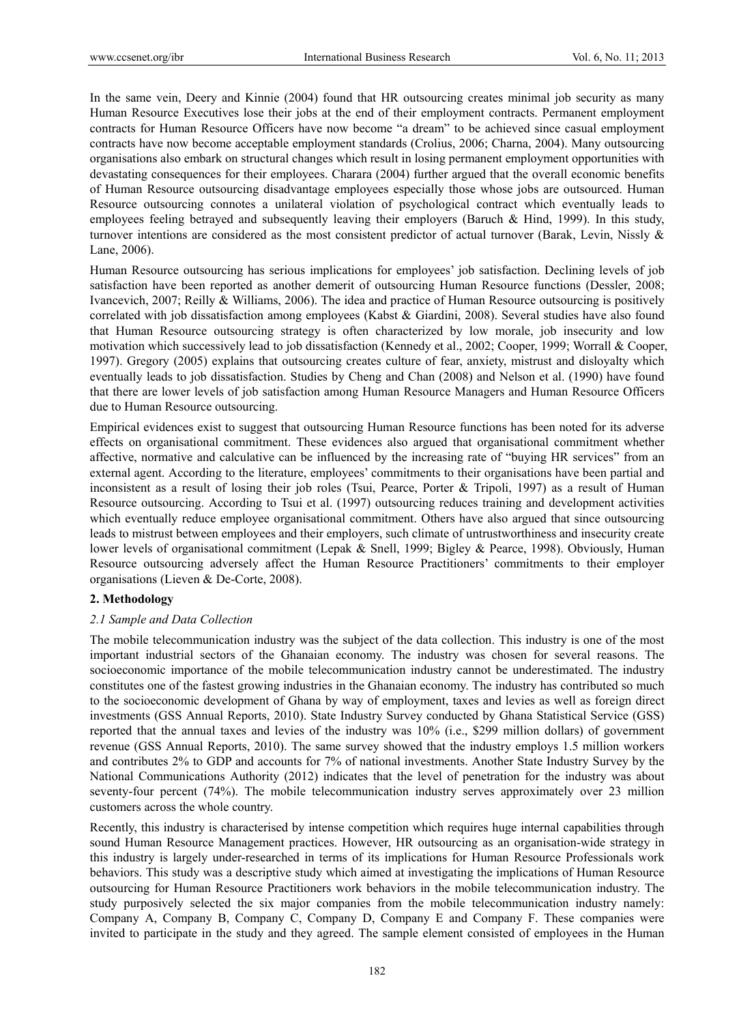In the same vein, Deery and Kinnie (2004) found that HR outsourcing creates minimal job security as many Human Resource Executives lose their jobs at the end of their employment contracts. Permanent employment contracts for Human Resource Officers have now become "a dream" to be achieved since casual employment contracts have now become acceptable employment standards (Crolius, 2006; Charna, 2004). Many outsourcing organisations also embark on structural changes which result in losing permanent employment opportunities with devastating consequences for their employees. Charara (2004) further argued that the overall economic benefits of Human Resource outsourcing disadvantage employees especially those whose jobs are outsourced. Human Resource outsourcing connotes a unilateral violation of psychological contract which eventually leads to employees feeling betrayed and subsequently leaving their employers (Baruch & Hind, 1999). In this study, turnover intentions are considered as the most consistent predictor of actual turnover (Barak, Levin, Nissly & Lane, 2006).

Human Resource outsourcing has serious implications for employees' job satisfaction. Declining levels of job satisfaction have been reported as another demerit of outsourcing Human Resource functions (Dessler, 2008; Ivancevich, 2007; Reilly & Williams, 2006). The idea and practice of Human Resource outsourcing is positively correlated with job dissatisfaction among employees (Kabst & Giardini, 2008). Several studies have also found that Human Resource outsourcing strategy is often characterized by low morale, job insecurity and low motivation which successively lead to job dissatisfaction (Kennedy et al., 2002; Cooper, 1999; Worrall & Cooper, 1997). Gregory (2005) explains that outsourcing creates culture of fear, anxiety, mistrust and disloyalty which eventually leads to job dissatisfaction. Studies by Cheng and Chan (2008) and Nelson et al. (1990) have found that there are lower levels of job satisfaction among Human Resource Managers and Human Resource Officers due to Human Resource outsourcing.

Empirical evidences exist to suggest that outsourcing Human Resource functions has been noted for its adverse effects on organisational commitment. These evidences also argued that organisational commitment whether affective, normative and calculative can be influenced by the increasing rate of "buying HR services" from an external agent. According to the literature, employees' commitments to their organisations have been partial and inconsistent as a result of losing their job roles (Tsui, Pearce, Porter & Tripoli, 1997) as a result of Human Resource outsourcing. According to Tsui et al. (1997) outsourcing reduces training and development activities which eventually reduce employee organisational commitment. Others have also argued that since outsourcing leads to mistrust between employees and their employers, such climate of untrustworthiness and insecurity create lower levels of organisational commitment (Lepak & Snell, 1999; Bigley & Pearce, 1998). Obviously, Human Resource outsourcing adversely affect the Human Resource Practitioners' commitments to their employer organisations (Lieven & De-Corte, 2008).

#### **2. Methodology**

#### *2.1 Sample and Data Collection*

The mobile telecommunication industry was the subject of the data collection. This industry is one of the most important industrial sectors of the Ghanaian economy. The industry was chosen for several reasons. The socioeconomic importance of the mobile telecommunication industry cannot be underestimated. The industry constitutes one of the fastest growing industries in the Ghanaian economy. The industry has contributed so much to the socioeconomic development of Ghana by way of employment, taxes and levies as well as foreign direct investments (GSS Annual Reports, 2010). State Industry Survey conducted by Ghana Statistical Service (GSS) reported that the annual taxes and levies of the industry was 10% (i.e., \$299 million dollars) of government revenue (GSS Annual Reports, 2010). The same survey showed that the industry employs 1.5 million workers and contributes 2% to GDP and accounts for 7% of national investments. Another State Industry Survey by the National Communications Authority (2012) indicates that the level of penetration for the industry was about seventy-four percent (74%). The mobile telecommunication industry serves approximately over 23 million customers across the whole country.

Recently, this industry is characterised by intense competition which requires huge internal capabilities through sound Human Resource Management practices. However, HR outsourcing as an organisation-wide strategy in this industry is largely under-researched in terms of its implications for Human Resource Professionals work behaviors. This study was a descriptive study which aimed at investigating the implications of Human Resource outsourcing for Human Resource Practitioners work behaviors in the mobile telecommunication industry. The study purposively selected the six major companies from the mobile telecommunication industry namely: Company A, Company B, Company C, Company D, Company E and Company F. These companies were invited to participate in the study and they agreed. The sample element consisted of employees in the Human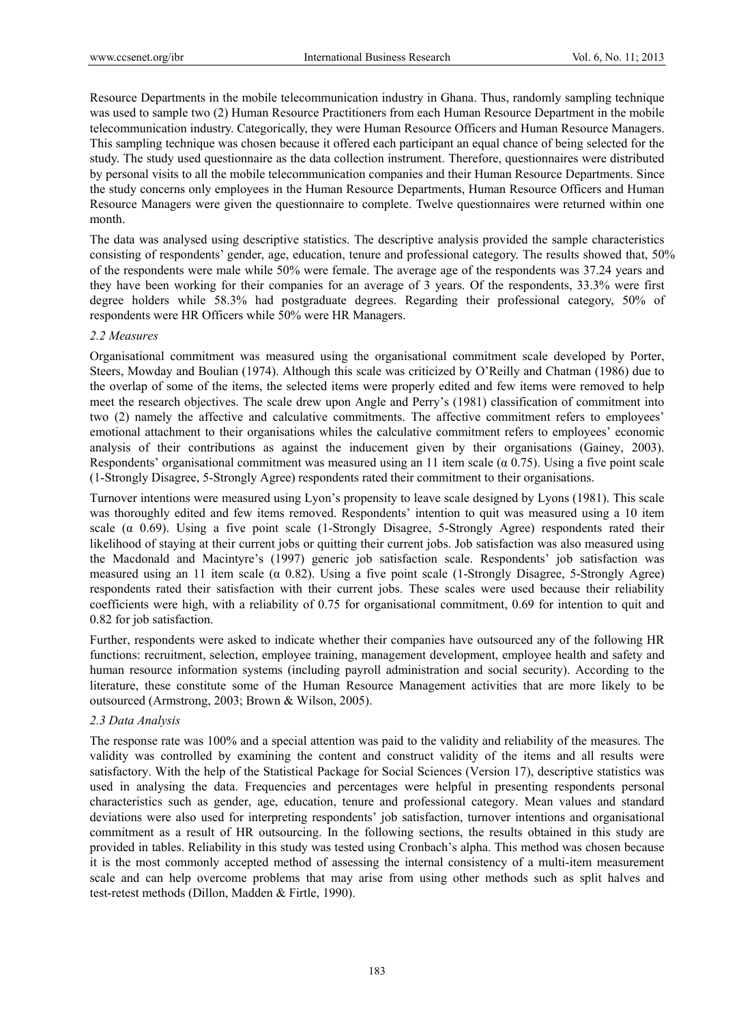Resource Departments in the mobile telecommunication industry in Ghana. Thus, randomly sampling technique was used to sample two (2) Human Resource Practitioners from each Human Resource Department in the mobile telecommunication industry. Categorically, they were Human Resource Officers and Human Resource Managers. This sampling technique was chosen because it offered each participant an equal chance of being selected for the study. The study used questionnaire as the data collection instrument. Therefore, questionnaires were distributed by personal visits to all the mobile telecommunication companies and their Human Resource Departments. Since the study concerns only employees in the Human Resource Departments, Human Resource Officers and Human Resource Managers were given the questionnaire to complete. Twelve questionnaires were returned within one month.

The data was analysed using descriptive statistics. The descriptive analysis provided the sample characteristics consisting of respondents' gender, age, education, tenure and professional category. The results showed that, 50% of the respondents were male while 50% were female. The average age of the respondents was 37.24 years and they have been working for their companies for an average of 3 years. Of the respondents, 33.3% were first degree holders while 58.3% had postgraduate degrees. Regarding their professional category, 50% of respondents were HR Officers while 50% were HR Managers.

#### *2.2 Measures*

Organisational commitment was measured using the organisational commitment scale developed by Porter, Steers, Mowday and Boulian (1974). Although this scale was criticized by O'Reilly and Chatman (1986) due to the overlap of some of the items, the selected items were properly edited and few items were removed to help meet the research objectives. The scale drew upon Angle and Perry's (1981) classification of commitment into two (2) namely the affective and calculative commitments. The affective commitment refers to employees' emotional attachment to their organisations whiles the calculative commitment refers to employees' economic analysis of their contributions as against the inducement given by their organisations (Gainey, 2003). Respondents' organisational commitment was measured using an 11 item scale ( $\alpha$  0.75). Using a five point scale (1-Strongly Disagree, 5-Strongly Agree) respondents rated their commitment to their organisations.

Turnover intentions were measured using Lyon's propensity to leave scale designed by Lyons (1981). This scale was thoroughly edited and few items removed. Respondents' intention to quit was measured using a 10 item scale ( $\alpha$  0.69). Using a five point scale (1-Strongly Disagree, 5-Strongly Agree) respondents rated their likelihood of staying at their current jobs or quitting their current jobs. Job satisfaction was also measured using the Macdonald and Macintyre's (1997) generic job satisfaction scale. Respondents' job satisfaction was measured using an 11 item scale  $(\alpha \ 0.82)$ . Using a five point scale (1-Strongly Disagree, 5-Strongly Agree) respondents rated their satisfaction with their current jobs. These scales were used because their reliability coefficients were high, with a reliability of 0.75 for organisational commitment, 0.69 for intention to quit and 0.82 for job satisfaction.

Further, respondents were asked to indicate whether their companies have outsourced any of the following HR functions: recruitment, selection, employee training, management development, employee health and safety and human resource information systems (including payroll administration and social security). According to the literature, these constitute some of the Human Resource Management activities that are more likely to be outsourced (Armstrong, 2003; Brown & Wilson, 2005).

#### *2.3 Data Analysis*

The response rate was 100% and a special attention was paid to the validity and reliability of the measures. The validity was controlled by examining the content and construct validity of the items and all results were satisfactory. With the help of the Statistical Package for Social Sciences (Version 17), descriptive statistics was used in analysing the data. Frequencies and percentages were helpful in presenting respondents personal characteristics such as gender, age, education, tenure and professional category. Mean values and standard deviations were also used for interpreting respondents' job satisfaction, turnover intentions and organisational commitment as a result of HR outsourcing. In the following sections, the results obtained in this study are provided in tables. Reliability in this study was tested using Cronbach's alpha. This method was chosen because it is the most commonly accepted method of assessing the internal consistency of a multi-item measurement scale and can help overcome problems that may arise from using other methods such as split halves and test-retest methods (Dillon, Madden & Firtle, 1990).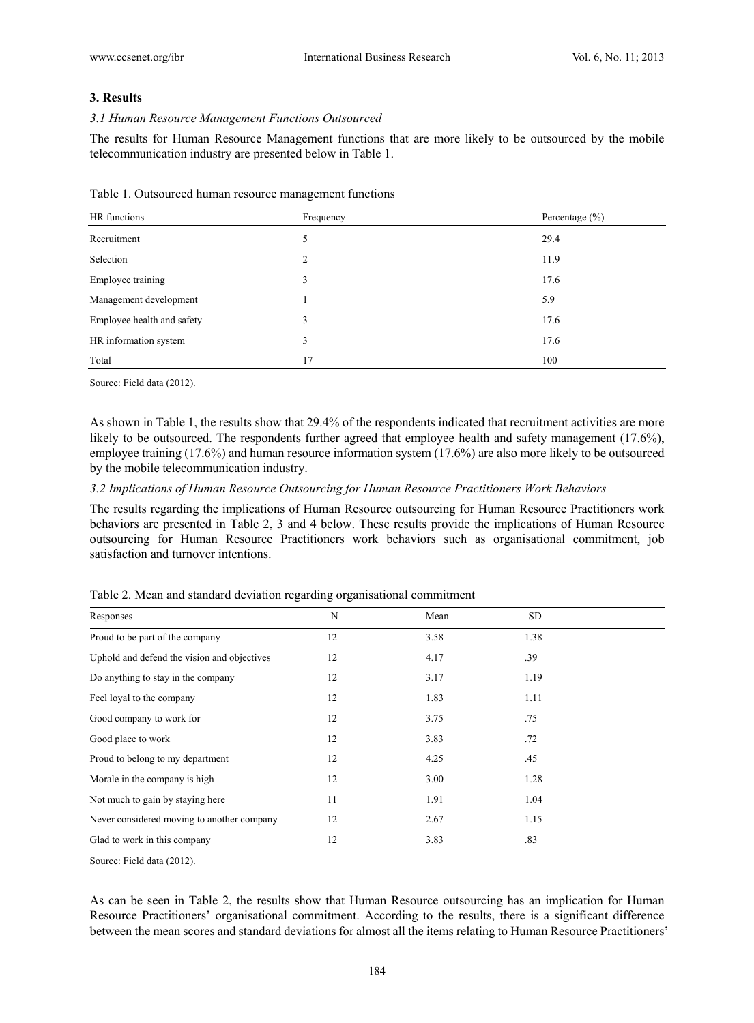#### **3. Results**

#### *3.1 Human Resource Management Functions Outsourced*

The results for Human Resource Management functions that are more likely to be outsourced by the mobile telecommunication industry are presented below in Table 1.

|  |  |  | Table 1. Outsourced human resource management functions |  |
|--|--|--|---------------------------------------------------------|--|
|--|--|--|---------------------------------------------------------|--|

| HR functions               | Frequency | Percentage $(\% )$ |
|----------------------------|-----------|--------------------|
| Recruitment                | 5         | 29.4               |
| Selection                  | 2         | 11.9               |
| Employee training          | 3         | 17.6               |
| Management development     |           | 5.9                |
| Employee health and safety | 3         | 17.6               |
| HR information system      | 3         | 17.6               |
| Total                      | 17        | 100                |

Source: Field data (2012).

As shown in Table 1, the results show that 29.4% of the respondents indicated that recruitment activities are more likely to be outsourced. The respondents further agreed that employee health and safety management (17.6%), employee training (17.6%) and human resource information system (17.6%) are also more likely to be outsourced by the mobile telecommunication industry.

#### *3.2 Implications of Human Resource Outsourcing for Human Resource Practitioners Work Behaviors*

The results regarding the implications of Human Resource outsourcing for Human Resource Practitioners work behaviors are presented in Table 2, 3 and 4 below. These results provide the implications of Human Resource outsourcing for Human Resource Practitioners work behaviors such as organisational commitment, job satisfaction and turnover intentions.

| Responses                                   | N  | Mean | <b>SD</b> |  |
|---------------------------------------------|----|------|-----------|--|
| Proud to be part of the company             | 12 | 3.58 | 1.38      |  |
| Uphold and defend the vision and objectives | 12 | 4.17 | .39       |  |
| Do anything to stay in the company          | 12 | 3.17 | 1.19      |  |
| Feel loyal to the company                   | 12 | 1.83 | 1.11      |  |
| Good company to work for                    | 12 | 3.75 | .75       |  |
| Good place to work                          | 12 | 3.83 | .72       |  |
| Proud to belong to my department            | 12 | 4.25 | .45       |  |
| Morale in the company is high               | 12 | 3.00 | 1.28      |  |
| Not much to gain by staying here            | 11 | 1.91 | 1.04      |  |
| Never considered moving to another company  | 12 | 2.67 | 1.15      |  |
| Glad to work in this company                | 12 | 3.83 | .83       |  |

Table 2. Mean and standard deviation regarding organisational commitment

Source: Field data (2012).

As can be seen in Table 2, the results show that Human Resource outsourcing has an implication for Human Resource Practitioners' organisational commitment. According to the results, there is a significant difference between the mean scores and standard deviations for almost all the items relating to Human Resource Practitioners'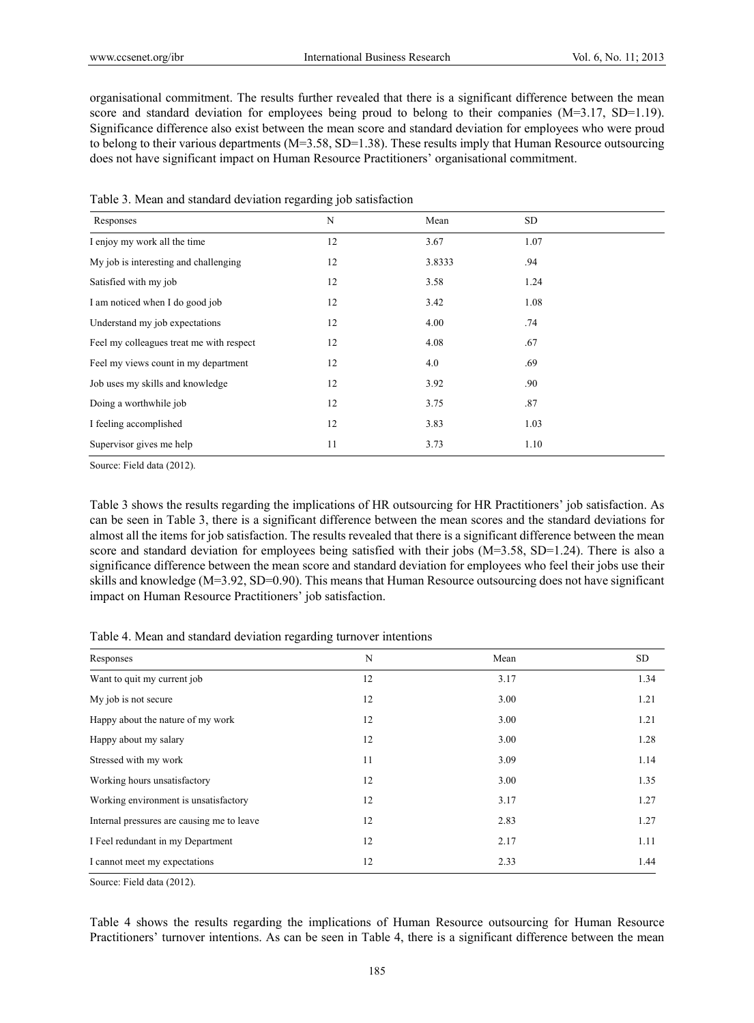organisational commitment. The results further revealed that there is a significant difference between the mean score and standard deviation for employees being proud to belong to their companies (M=3.17, SD=1.19). Significance difference also exist between the mean score and standard deviation for employees who were proud to belong to their various departments (M=3.58, SD=1.38). These results imply that Human Resource outsourcing does not have significant impact on Human Resource Practitioners' organisational commitment.

| Responses                                | N  | Mean   | <b>SD</b> |  |
|------------------------------------------|----|--------|-----------|--|
| I enjoy my work all the time             | 12 | 3.67   | 1.07      |  |
| My job is interesting and challenging    | 12 | 3.8333 | .94       |  |
| Satisfied with my job                    | 12 | 3.58   | 1.24      |  |
| I am noticed when I do good job          | 12 | 3.42   | 1.08      |  |
| Understand my job expectations           | 12 | 4.00   | .74       |  |
| Feel my colleagues treat me with respect | 12 | 4.08   | .67       |  |
| Feel my views count in my department     | 12 | 4.0    | .69       |  |
| Job uses my skills and knowledge         | 12 | 3.92   | .90       |  |
| Doing a worthwhile job                   | 12 | 3.75   | .87       |  |
| I feeling accomplished                   | 12 | 3.83   | 1.03      |  |
| Supervisor gives me help                 | 11 | 3.73   | 1.10      |  |

| Table 3. Mean and standard deviation regarding job satisfaction |  |  |  |  |  |  |  |
|-----------------------------------------------------------------|--|--|--|--|--|--|--|
|-----------------------------------------------------------------|--|--|--|--|--|--|--|

Source: Field data (2012).

Table 3 shows the results regarding the implications of HR outsourcing for HR Practitioners' job satisfaction. As can be seen in Table 3, there is a significant difference between the mean scores and the standard deviations for almost all the items for job satisfaction. The results revealed that there is a significant difference between the mean score and standard deviation for employees being satisfied with their jobs (M=3.58, SD=1.24). There is also a significance difference between the mean score and standard deviation for employees who feel their jobs use their skills and knowledge (M=3.92, SD=0.90). This means that Human Resource outsourcing does not have significant impact on Human Resource Practitioners' job satisfaction.

|  |  | Table 4. Mean and standard deviation regarding turnover intentions |
|--|--|--------------------------------------------------------------------|
|  |  |                                                                    |
|  |  |                                                                    |

| Responses                                  | N  | Mean | SD   |
|--------------------------------------------|----|------|------|
| Want to quit my current job                | 12 | 3.17 | 1.34 |
| My job is not secure                       | 12 | 3.00 | 1.21 |
| Happy about the nature of my work          | 12 | 3.00 | 1.21 |
| Happy about my salary                      | 12 | 3.00 | 1.28 |
| Stressed with my work                      | 11 | 3.09 | 1.14 |
| Working hours unsatisfactory               | 12 | 3.00 | 1.35 |
| Working environment is unsatisfactory      | 12 | 3.17 | 1.27 |
| Internal pressures are causing me to leave | 12 | 2.83 | 1.27 |
| I Feel redundant in my Department          | 12 | 2.17 | 1.11 |
| I cannot meet my expectations              | 12 | 2.33 | 1.44 |

Source: Field data (2012).

Table 4 shows the results regarding the implications of Human Resource outsourcing for Human Resource Practitioners' turnover intentions. As can be seen in Table 4, there is a significant difference between the mean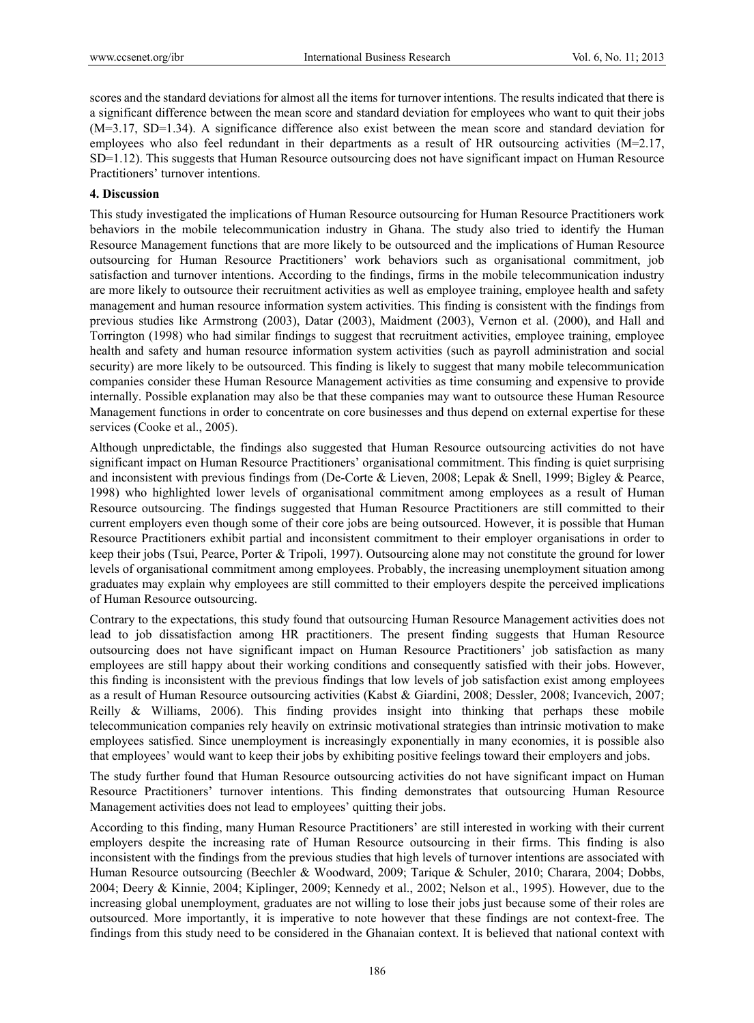scores and the standard deviations for almost all the items for turnover intentions. The results indicated that there is a significant difference between the mean score and standard deviation for employees who want to quit their jobs (M=3.17, SD=1.34). A significance difference also exist between the mean score and standard deviation for employees who also feel redundant in their departments as a result of HR outsourcing activities (M=2.17, SD=1.12). This suggests that Human Resource outsourcing does not have significant impact on Human Resource Practitioners' turnover intentions.

## **4. Discussion**

This study investigated the implications of Human Resource outsourcing for Human Resource Practitioners work behaviors in the mobile telecommunication industry in Ghana. The study also tried to identify the Human Resource Management functions that are more likely to be outsourced and the implications of Human Resource outsourcing for Human Resource Practitioners' work behaviors such as organisational commitment, job satisfaction and turnover intentions. According to the findings, firms in the mobile telecommunication industry are more likely to outsource their recruitment activities as well as employee training, employee health and safety management and human resource information system activities. This finding is consistent with the findings from previous studies like Armstrong (2003), Datar (2003), Maidment (2003), Vernon et al. (2000), and Hall and Torrington (1998) who had similar findings to suggest that recruitment activities, employee training, employee health and safety and human resource information system activities (such as payroll administration and social security) are more likely to be outsourced. This finding is likely to suggest that many mobile telecommunication companies consider these Human Resource Management activities as time consuming and expensive to provide internally. Possible explanation may also be that these companies may want to outsource these Human Resource Management functions in order to concentrate on core businesses and thus depend on external expertise for these services (Cooke et al., 2005).

Although unpredictable, the findings also suggested that Human Resource outsourcing activities do not have significant impact on Human Resource Practitioners' organisational commitment. This finding is quiet surprising and inconsistent with previous findings from (De-Corte & Lieven, 2008; Lepak & Snell, 1999; Bigley & Pearce, 1998) who highlighted lower levels of organisational commitment among employees as a result of Human Resource outsourcing. The findings suggested that Human Resource Practitioners are still committed to their current employers even though some of their core jobs are being outsourced. However, it is possible that Human Resource Practitioners exhibit partial and inconsistent commitment to their employer organisations in order to keep their jobs (Tsui, Pearce, Porter & Tripoli, 1997). Outsourcing alone may not constitute the ground for lower levels of organisational commitment among employees. Probably, the increasing unemployment situation among graduates may explain why employees are still committed to their employers despite the perceived implications of Human Resource outsourcing.

Contrary to the expectations, this study found that outsourcing Human Resource Management activities does not lead to job dissatisfaction among HR practitioners. The present finding suggests that Human Resource outsourcing does not have significant impact on Human Resource Practitioners' job satisfaction as many employees are still happy about their working conditions and consequently satisfied with their jobs. However, this finding is inconsistent with the previous findings that low levels of job satisfaction exist among employees as a result of Human Resource outsourcing activities (Kabst & Giardini, 2008; Dessler, 2008; Ivancevich, 2007; Reilly & Williams, 2006). This finding provides insight into thinking that perhaps these mobile telecommunication companies rely heavily on extrinsic motivational strategies than intrinsic motivation to make employees satisfied. Since unemployment is increasingly exponentially in many economies, it is possible also that employees' would want to keep their jobs by exhibiting positive feelings toward their employers and jobs.

The study further found that Human Resource outsourcing activities do not have significant impact on Human Resource Practitioners' turnover intentions. This finding demonstrates that outsourcing Human Resource Management activities does not lead to employees' quitting their jobs.

According to this finding, many Human Resource Practitioners' are still interested in working with their current employers despite the increasing rate of Human Resource outsourcing in their firms. This finding is also inconsistent with the findings from the previous studies that high levels of turnover intentions are associated with Human Resource outsourcing (Beechler & Woodward, 2009; Tarique & Schuler, 2010; Charara, 2004; Dobbs, 2004; Deery & Kinnie, 2004; Kiplinger, 2009; Kennedy et al., 2002; Nelson et al., 1995). However, due to the increasing global unemployment, graduates are not willing to lose their jobs just because some of their roles are outsourced. More importantly, it is imperative to note however that these findings are not context-free. The findings from this study need to be considered in the Ghanaian context. It is believed that national context with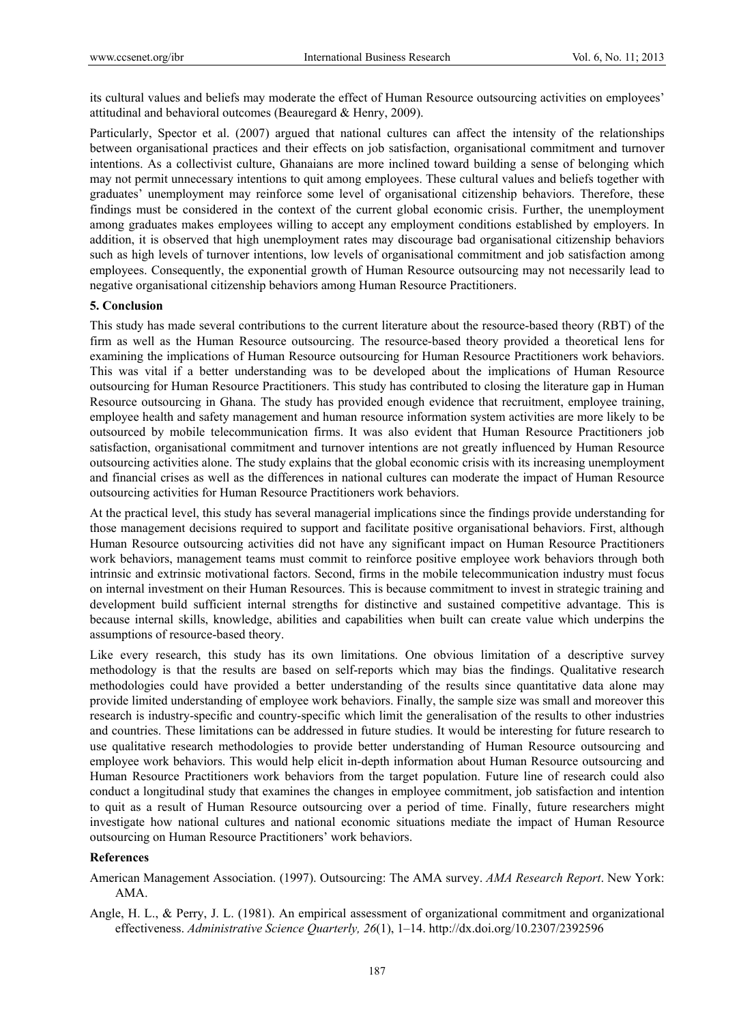its cultural values and beliefs may moderate the effect of Human Resource outsourcing activities on employees' attitudinal and behavioral outcomes (Beauregard & Henry, 2009).

Particularly, Spector et al. (2007) argued that national cultures can affect the intensity of the relationships between organisational practices and their effects on job satisfaction, organisational commitment and turnover intentions. As a collectivist culture, Ghanaians are more inclined toward building a sense of belonging which may not permit unnecessary intentions to quit among employees. These cultural values and beliefs together with graduates' unemployment may reinforce some level of organisational citizenship behaviors. Therefore, these findings must be considered in the context of the current global economic crisis. Further, the unemployment among graduates makes employees willing to accept any employment conditions established by employers. In addition, it is observed that high unemployment rates may discourage bad organisational citizenship behaviors such as high levels of turnover intentions, low levels of organisational commitment and job satisfaction among employees. Consequently, the exponential growth of Human Resource outsourcing may not necessarily lead to negative organisational citizenship behaviors among Human Resource Practitioners.

#### **5. Conclusion**

This study has made several contributions to the current literature about the resource-based theory (RBT) of the firm as well as the Human Resource outsourcing. The resource-based theory provided a theoretical lens for examining the implications of Human Resource outsourcing for Human Resource Practitioners work behaviors. This was vital if a better understanding was to be developed about the implications of Human Resource outsourcing for Human Resource Practitioners. This study has contributed to closing the literature gap in Human Resource outsourcing in Ghana. The study has provided enough evidence that recruitment, employee training, employee health and safety management and human resource information system activities are more likely to be outsourced by mobile telecommunication firms. It was also evident that Human Resource Practitioners job satisfaction, organisational commitment and turnover intentions are not greatly influenced by Human Resource outsourcing activities alone. The study explains that the global economic crisis with its increasing unemployment and financial crises as well as the differences in national cultures can moderate the impact of Human Resource outsourcing activities for Human Resource Practitioners work behaviors.

At the practical level, this study has several managerial implications since the findings provide understanding for those management decisions required to support and facilitate positive organisational behaviors. First, although Human Resource outsourcing activities did not have any significant impact on Human Resource Practitioners work behaviors, management teams must commit to reinforce positive employee work behaviors through both intrinsic and extrinsic motivational factors. Second, firms in the mobile telecommunication industry must focus on internal investment on their Human Resources. This is because commitment to invest in strategic training and development build sufficient internal strengths for distinctive and sustained competitive advantage. This is because internal skills, knowledge, abilities and capabilities when built can create value which underpins the assumptions of resource-based theory.

Like every research, this study has its own limitations. One obvious limitation of a descriptive survey methodology is that the results are based on self-reports which may bias the findings. Qualitative research methodologies could have provided a better understanding of the results since quantitative data alone may provide limited understanding of employee work behaviors. Finally, the sample size was small and moreover this research is industry-specific and country-specific which limit the generalisation of the results to other industries and countries. These limitations can be addressed in future studies. It would be interesting for future research to use qualitative research methodologies to provide better understanding of Human Resource outsourcing and employee work behaviors. This would help elicit in-depth information about Human Resource outsourcing and Human Resource Practitioners work behaviors from the target population. Future line of research could also conduct a longitudinal study that examines the changes in employee commitment, job satisfaction and intention to quit as a result of Human Resource outsourcing over a period of time. Finally, future researchers might investigate how national cultures and national economic situations mediate the impact of Human Resource outsourcing on Human Resource Practitioners' work behaviors.

#### **References**

- American Management Association. (1997). Outsourcing: The AMA survey. *AMA Research Report*. New York: AMA.
- Angle, H. L., & Perry, J. L. (1981). An empirical assessment of organizational commitment and organizational effectiveness. *Administrative Science Quarterly, 26*(1), 1–14. http://dx.doi.org/10.2307/2392596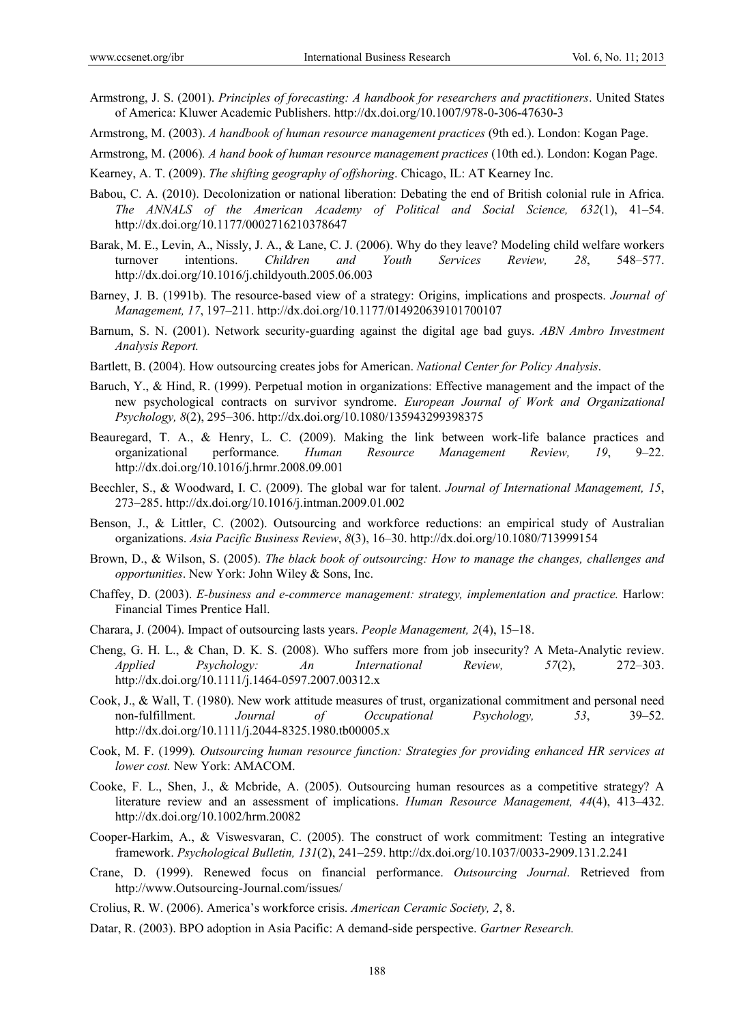- Armstrong, J. S. (2001). *Principles of forecasting: A handbook for researchers and practitioners*. United States of America: Kluwer Academic Publishers. http://dx.doi.org/10.1007/978-0-306-47630-3
- Armstrong, M. (2003). *A handbook of human resource management practices* (9th ed.). London: Kogan Page.
- Armstrong, M. (2006)*. A hand book of human resource management practices* (10th ed.). London: Kogan Page.
- Kearney, A. T. (2009). *The shifting geography of offshoring*. Chicago, IL: AT Kearney Inc.
- Babou, C. A. (2010). Decolonization or national liberation: Debating the end of British colonial rule in Africa. *The ANNALS of the American Academy of Political and Social Science, 632*(1), 41–54. http://dx.doi.org/10.1177/0002716210378647
- Barak, M. E., Levin, A., Nissly, J. A., & Lane, C. J. (2006). Why do they leave? Modeling child welfare workers turnover intentions. *Children and Youth Services Review, 28*, 548–577. http://dx.doi.org/10.1016/j.childyouth.2005.06.003
- Barney, J. B. (1991b). The resource-based view of a strategy: Origins, implications and prospects. *Journal of Management, 17*, 197–211. http://dx.doi.org/10.1177/014920639101700107
- Barnum, S. N. (2001). Network security-guarding against the digital age bad guys. *ABN Ambro Investment Analysis Report.*
- Bartlett, B. (2004). How outsourcing creates jobs for American. *National Center for Policy Analysis*.
- Baruch, Y., & Hind, R. (1999). Perpetual motion in organizations: Effective management and the impact of the new psychological contracts on survivor syndrome. *European Journal of Work and Organizational Psychology, 8*(2), 295–306. http://dx.doi.org/10.1080/135943299398375
- Beauregard, T. A., & Henry, L. C. (2009). Making the link between work-life balance practices and organizational performance*. Human Resource Management Review, 19*, 9–22. http://dx.doi.org/10.1016/j.hrmr.2008.09.001
- Beechler, S., & Woodward, I. C. (2009). The global war for talent. *Journal of International Management, 15*, 273–285. http://dx.doi.org/10.1016/j.intman.2009.01.002
- Benson, J., & Littler, C. (2002). Outsourcing and workforce reductions: an empirical study of Australian organizations. *Asia Pacific Business Review*, *8*(3), 16–30. http://dx.doi.org/10.1080/713999154
- Brown, D., & Wilson, S. (2005). *The black book of outsourcing: How to manage the changes, challenges and opportunities*. New York: John Wiley & Sons, Inc.
- Chaffey, D. (2003). *E-business and e-commerce management: strategy, implementation and practice.* Harlow: Financial Times Prentice Hall.
- Charara, J. (2004). Impact of outsourcing lasts years. *People Management, 2*(4), 15–18.
- Cheng, G. H. L., & Chan, D. K. S. (2008). Who suffers more from job insecurity? A Meta-Analytic review. *Applied Psychology: An International Review, 57*(2), 272–303. http://dx.doi.org/10.1111/j.1464-0597.2007.00312.x
- Cook, J., & Wall, T. (1980). New work attitude measures of trust, organizational commitment and personal need non-fulfillment. *Journal of Occupational Psychology, 53*, 39–52. http://dx.doi.org/10.1111/j.2044-8325.1980.tb00005.x
- Cook, M. F. (1999)*. Outsourcing human resource function: Strategies for providing enhanced HR services at lower cost.* New York: AMACOM.
- Cooke, F. L., Shen, J., & Mcbride, A. (2005). Outsourcing human resources as a competitive strategy? A literature review and an assessment of implications. *Human Resource Management, 44*(4), 413–432. http://dx.doi.org/10.1002/hrm.20082
- Cooper-Harkim, A., & Viswesvaran, C. (2005). The construct of work commitment: Testing an integrative framework. *Psychological Bulletin, 131*(2), 241–259. http://dx.doi.org/10.1037/0033-2909.131.2.241
- Crane, D. (1999). Renewed focus on financial performance. *Outsourcing Journal*. Retrieved from http://www.Outsourcing-Journal.com/issues/
- Crolius, R. W. (2006). America's workforce crisis. *American Ceramic Society, 2*, 8.
- Datar, R. (2003). BPO adoption in Asia Pacific: A demand-side perspective. *Gartner Research.*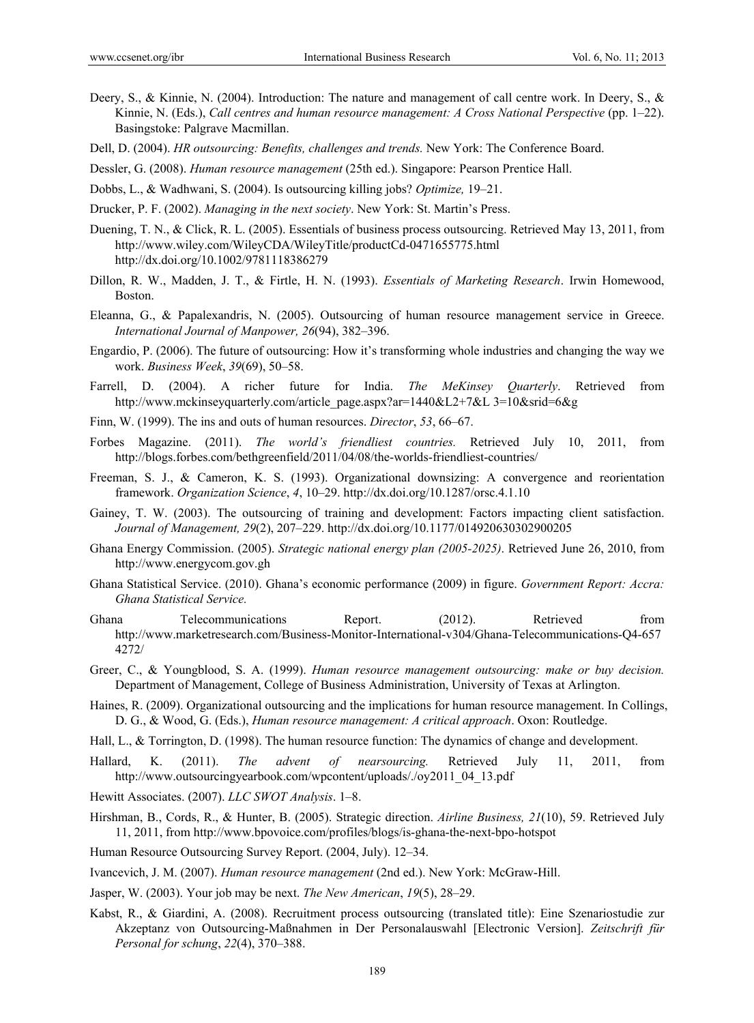- Deery, S., & Kinnie, N. (2004). Introduction: The nature and management of call centre work. In Deery, S., & Kinnie, N. (Eds.), *Call centres and human resource management: A Cross National Perspective* (pp. 1–22). Basingstoke: Palgrave Macmillan.
- Dell, D. (2004). *HR outsourcing: Benefits, challenges and trends.* New York: The Conference Board.
- Dessler, G. (2008). *Human resource management* (25th ed.). Singapore: Pearson Prentice Hall.
- Dobbs, L., & Wadhwani, S. (2004). Is outsourcing killing jobs? *Optimize,* 19–21.
- Drucker, P. F. (2002). *Managing in the next society*. New York: St. Martin's Press.
- Duening, T. N., & Click, R. L. (2005). Essentials of business process outsourcing. Retrieved May 13, 2011, from http://www.wiley.com/WileyCDA/WileyTitle/productCd-0471655775.html http://dx.doi.org/10.1002/9781118386279
- Dillon, R. W., Madden, J. T., & Firtle, H. N. (1993). *Essentials of Marketing Research*. Irwin Homewood, Boston.
- Eleanna, G., & Papalexandris, N. (2005). Outsourcing of human resource management service in Greece. *International Journal of Manpower, 26*(94), 382–396.
- Engardio, P. (2006). The future of outsourcing: How it's transforming whole industries and changing the way we work. *Business Week*, *39*(69), 50–58.
- Farrell, D. (2004). A richer future for India. *The MeKinsey Quarterly*. Retrieved from http://www.mckinseyquarterly.com/article\_page.aspx?ar=1440&L2+7&L 3=10&srid=6&g
- Finn, W. (1999). The ins and outs of human resources. *Director*, *53*, 66–67.
- Forbes Magazine. (2011). *The world's friendliest countries.* Retrieved July 10, 2011, from http://blogs.forbes.com/bethgreenfield/2011/04/08/the-worlds-friendliest-countries/
- Freeman, S. J., & Cameron, K. S. (1993). Organizational downsizing: A convergence and reorientation framework. *Organization Science*, *4*, 10–29. http://dx.doi.org/10.1287/orsc.4.1.10
- Gainey, T. W. (2003). The outsourcing of training and development: Factors impacting client satisfaction. *Journal of Management, 29*(2), 207–229. http://dx.doi.org/10.1177/014920630302900205
- Ghana Energy Commission. (2005). *Strategic national energy plan (2005-2025)*. Retrieved June 26, 2010, from http://www.energycom.gov.gh
- Ghana Statistical Service. (2010). Ghana's economic performance (2009) in figure. *Government Report: Accra: Ghana Statistical Service.*
- Ghana Telecommunications Report. (2012). Retrieved from http://www.marketresearch.com/Business-Monitor-International-v304/Ghana-Telecommunications-Q4-657 4272/
- Greer, C., & Youngblood, S. A. (1999). *Human resource management outsourcing: make or buy decision.*  Department of Management, College of Business Administration, University of Texas at Arlington.
- Haines, R. (2009). Organizational outsourcing and the implications for human resource management. In Collings, D. G., & Wood, G. (Eds.), *Human resource management: A critical approach*. Oxon: Routledge.
- Hall, L., & Torrington, D. (1998). The human resource function: The dynamics of change and development.
- Hallard, K. (2011). *The advent of nearsourcing.* Retrieved July 11, 2011, from http://www.outsourcingyearbook.com/wpcontent/uploads/./oy2011\_04\_13.pdf
- Hewitt Associates. (2007). *LLC SWOT Analysis*. 1–8.
- Hirshman, B., Cords, R., & Hunter, B. (2005). Strategic direction. *Airline Business, 21*(10), 59. Retrieved July 11, 2011, from http://www.bpovoice.com/profiles/blogs/is-ghana-the-next-bpo-hotspot
- Human Resource Outsourcing Survey Report. (2004, July). 12–34.
- Ivancevich, J. M. (2007). *Human resource management* (2nd ed.). New York: McGraw-Hill.
- Jasper, W. (2003). Your job may be next. *The New American*, *19*(5), 28–29.
- Kabst, R., & Giardini, A. (2008). Recruitment process outsourcing (translated title): Eine Szenariostudie zur Akzeptanz von Outsourcing-Maßnahmen in Der Personalauswahl [Electronic Version]. *Zeitschrift für Personal for schung*, *22*(4), 370–388.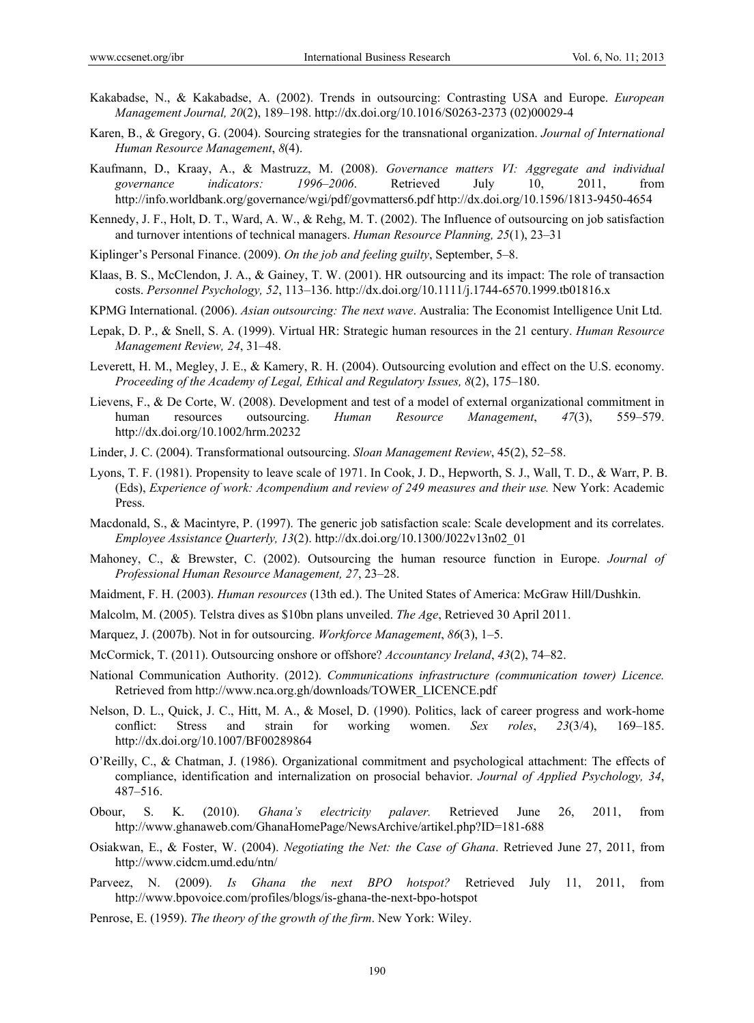- Kakabadse, N., & Kakabadse, A. (2002). Trends in outsourcing: Contrasting USA and Europe. *European Management Journal, 20*(2), 189–198. http://dx.doi.org/10.1016/S0263-2373 (02)00029-4
- Karen, B., & Gregory, G. (2004). Sourcing strategies for the transnational organization. *Journal of International Human Resource Management*, *8*(4).
- Kaufmann, D., Kraay, A., & Mastruzz, M. (2008). *Governance matters VI: Aggregate and individual governance indicators: 1996–2006*. Retrieved July 10, 2011, from http://info.worldbank.org/governance/wgi/pdf/govmatters6.pdf http://dx.doi.org/10.1596/1813-9450-4654
- Kennedy, J. F., Holt, D. T., Ward, A. W., & Rehg, M. T. (2002). The Influence of outsourcing on job satisfaction and turnover intentions of technical managers. *Human Resource Planning, 25*(1), 23–31
- Kiplinger's Personal Finance. (2009). *On the job and feeling guilty*, September, 5–8.
- Klaas, B. S., McClendon, J. A., & Gainey, T. W. (2001). HR outsourcing and its impact: The role of transaction costs. *Personnel Psychology, 52*, 113–136. http://dx.doi.org/10.1111/j.1744-6570.1999.tb01816.x
- KPMG International. (2006). *Asian outsourcing: The next wave*. Australia: The Economist Intelligence Unit Ltd.
- Lepak, D. P., & Snell, S. A. (1999). Virtual HR: Strategic human resources in the 21 century. *Human Resource Management Review, 24*, 31–48.
- Leverett, H. M., Megley, J. E., & Kamery, R. H. (2004). Outsourcing evolution and effect on the U.S. economy. *Proceeding of the Academy of Legal, Ethical and Regulatory Issues, 8*(2), 175–180.
- Lievens, F., & De Corte, W. (2008). Development and test of a model of external organizational commitment in human resources outsourcing. *Human Resource Management*, *47*(3), 559–579. http://dx.doi.org/10.1002/hrm.20232
- Linder, J. C. (2004). Transformational outsourcing. *Sloan Management Review*, 45(2), 52–58.
- Lyons, T. F. (1981). Propensity to leave scale of 1971. In Cook, J. D., Hepworth, S. J., Wall, T. D., & Warr, P. B. (Eds), *Experience of work: Acompendium and review of 249 measures and their use.* New York: Academic Press.
- Macdonald, S., & Macintyre, P. (1997). The generic job satisfaction scale: Scale development and its correlates. *Employee Assistance Quarterly, 13*(2). http://dx.doi.org/10.1300/J022v13n02\_01
- Mahoney, C., & Brewster, C. (2002). Outsourcing the human resource function in Europe. *Journal of Professional Human Resource Management, 27*, 23–28.
- Maidment, F. H. (2003). *Human resources* (13th ed.). The United States of America: McGraw Hill/Dushkin.
- Malcolm, M. (2005). Telstra dives as \$10bn plans unveiled. *The Age*, Retrieved 30 April 2011.
- Marquez, J. (2007b). Not in for outsourcing. *Workforce Management*, *86*(3), 1–5.
- McCormick, T. (2011). Outsourcing onshore or offshore? *Accountancy Ireland*, *43*(2), 74–82.
- National Communication Authority. (2012). *Communications infrastructure (communication tower) Licence.*  Retrieved from http://www.nca.org.gh/downloads/TOWER\_LICENCE.pdf
- Nelson, D. L., Quick, J. C., Hitt, M. A., & Mosel, D. (1990). Politics, lack of career progress and work-home conflict: Stress and strain for working women. *Sex roles*, *23*(3/4), 169–185. http://dx.doi.org/10.1007/BF00289864
- O'Reilly, C., & Chatman, J. (1986). Organizational commitment and psychological attachment: The effects of compliance, identification and internalization on prosocial behavior. *Journal of Applied Psychology, 34*, 487–516.
- Obour, S. K. (2010). *Ghana's electricity palaver.* Retrieved June 26, 2011, from http://www.ghanaweb.com/GhanaHomePage/NewsArchive/artikel.php?ID=181-688
- Osiakwan, E., & Foster, W. (2004). *Negotiating the Net: the Case of Ghana*. Retrieved June 27, 2011, from http://www.cidcm.umd.edu/ntn/
- Parveez, N. (2009). *Is Ghana the next BPO hotspot?* Retrieved July 11, 2011, from http://www.bpovoice.com/profiles/blogs/is-ghana-the-next-bpo-hotspot
- Penrose, E. (1959). *The theory of the growth of the firm*. New York: Wiley.